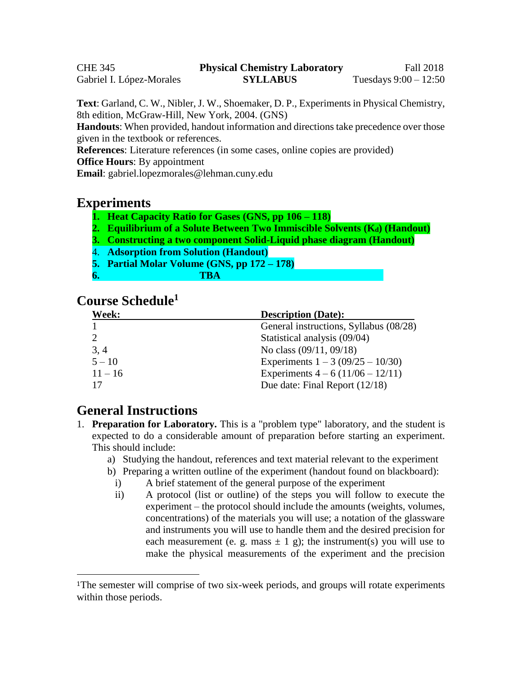CHE 345 **Physical Chemistry Laboratory** Fall 2018 Gabriel I. López-Morales **SYLLABUS** Tuesdays  $9:00 - 12:50$ 

**Text**: Garland, C. W., Nibler, J. W., Shoemaker, D. P., Experiments in Physical Chemistry, 8th edition, McGraw-Hill, New York, 2004. (GNS)

**Handouts**: When provided, handout information and directions take precedence over those given in the textbook or references.

**References**: Literature references (in some cases, online copies are provided)

**Office Hours**: By appointment

**Email**: gabriel.lopezmorales@lehman.cuny.edu

#### **Experiments**

- **1. Heat Capacity Ratio for Gases (GNS, pp 106 – 118)**
- **2. Equilibrium of a Solute Between Two Immiscible Solvents (Kd) (Handout)**
- **3. Constructing a two component Solid-Liquid phase diagram (Handout)**
- 4. **Adsorption from Solution (Handout)**
- **5. Partial Molar Volume (GNS, pp 172 – 178)**
- **6. TBA**

# **Course Schedule 1**

| <b>Week:</b> | <b>Description (Date):</b>             |
|--------------|----------------------------------------|
|              | General instructions, Syllabus (08/28) |
|              | Statistical analysis (09/04)           |
| 3, 4         | No class (09/11, 09/18)                |
| $5 - 10$     | Experiments $1 - 3 (09/25 - 10/30)$    |
| $11 - 16$    | Experiments $4 - 6(11/06 - 12/11)$     |
| 17           | Due date: Final Report (12/18)         |

# **General Instructions**

 $\overline{a}$ 

- 1. **Preparation for Laboratory.** This is a "problem type" laboratory, and the student is expected to do a considerable amount of preparation before starting an experiment. This should include:
	- a) Studying the handout, references and text material relevant to the experiment
	- b) Preparing a written outline of the experiment (handout found on blackboard):
		- i) A brief statement of the general purpose of the experiment
		- ii) A protocol (list or outline) of the steps you will follow to execute the experiment – the protocol should include the amounts (weights, volumes, concentrations) of the materials you will use; a notation of the glassware and instruments you will use to handle them and the desired precision for each measurement (e. g. mass  $\pm 1$  g); the instrument(s) you will use to make the physical measurements of the experiment and the precision

<sup>&</sup>lt;sup>1</sup>The semester will comprise of two six-week periods, and groups will rotate experiments within those periods.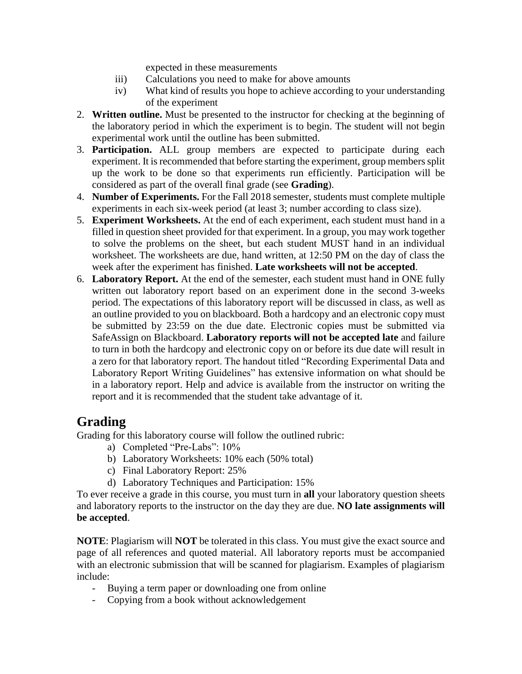expected in these measurements

- iii) Calculations you need to make for above amounts
- iv) What kind of results you hope to achieve according to your understanding of the experiment
- 2. **Written outline.** Must be presented to the instructor for checking at the beginning of the laboratory period in which the experiment is to begin. The student will not begin experimental work until the outline has been submitted.
- 3. **Participation.** ALL group members are expected to participate during each experiment. It is recommended that before starting the experiment, group members split up the work to be done so that experiments run efficiently. Participation will be considered as part of the overall final grade (see **Grading**).
- 4. **Number of Experiments.** For the Fall 2018 semester, students must complete multiple experiments in each six-week period (at least 3; number according to class size).
- 5. **Experiment Worksheets.** At the end of each experiment, each student must hand in a filled in question sheet provided for that experiment. In a group, you may work together to solve the problems on the sheet, but each student MUST hand in an individual worksheet. The worksheets are due, hand written, at 12:50 PM on the day of class the week after the experiment has finished. **Late worksheets will not be accepted**.
- 6. **Laboratory Report.** At the end of the semester, each student must hand in ONE fully written out laboratory report based on an experiment done in the second 3-weeks period. The expectations of this laboratory report will be discussed in class, as well as an outline provided to you on blackboard. Both a hardcopy and an electronic copy must be submitted by 23:59 on the due date. Electronic copies must be submitted via SafeAssign on Blackboard. **Laboratory reports will not be accepted late** and failure to turn in both the hardcopy and electronic copy on or before its due date will result in a zero for that laboratory report. The handout titled "Recording Experimental Data and Laboratory Report Writing Guidelines" has extensive information on what should be in a laboratory report. Help and advice is available from the instructor on writing the report and it is recommended that the student take advantage of it.

# **Grading**

Grading for this laboratory course will follow the outlined rubric:

- a) Completed "Pre-Labs": 10%
- b) Laboratory Worksheets: 10% each (50% total)
- c) Final Laboratory Report: 25%
- d) Laboratory Techniques and Participation: 15%

To ever receive a grade in this course, you must turn in **all** your laboratory question sheets and laboratory reports to the instructor on the day they are due. **NO late assignments will be accepted**.

**NOTE**: Plagiarism will **NOT** be tolerated in this class. You must give the exact source and page of all references and quoted material. All laboratory reports must be accompanied with an electronic submission that will be scanned for plagiarism. Examples of plagiarism include:

- Buying a term paper or downloading one from online
- Copying from a book without acknowledgement